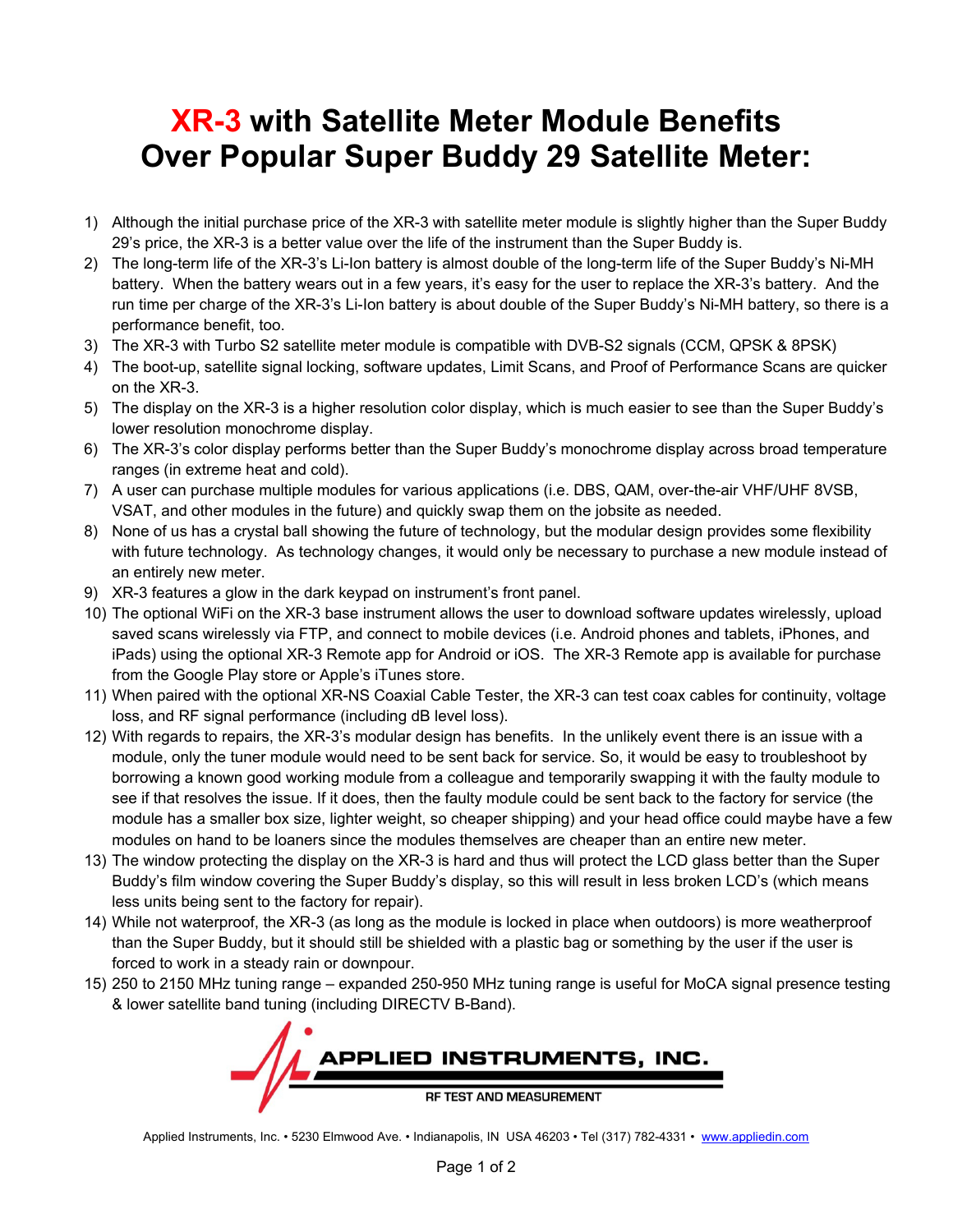## **XR-3 with Satellite Meter Module Benefits Over Popular Super Buddy 29 Satellite Meter:**

- 1) Although the initial purchase price of the XR-3 with satellite meter module is slightly higher than the Super Buddy 29's price, the XR-3 is a better value over the life of the instrument than the Super Buddy is.
- 2) The long-term life of the XR-3's Li-Ion battery is almost double of the long-term life of the Super Buddy's Ni-MH battery. When the battery wears out in a few years, it's easy for the user to replace the XR-3's battery. And the run time per charge of the XR-3's Li-Ion battery is about double of the Super Buddy's Ni-MH battery, so there is a performance benefit, too.
- 3) The XR-3 with Turbo S2 satellite meter module is compatible with DVB-S2 signals (CCM, QPSK & 8PSK)
- 4) The boot-up, satellite signal locking, software updates, Limit Scans, and Proof of Performance Scans are quicker on the XR-3.
- 5) The display on the XR-3 is a higher resolution color display, which is much easier to see than the Super Buddy's lower resolution monochrome display.
- 6) The XR-3's color display performs better than the Super Buddy's monochrome display across broad temperature ranges (in extreme heat and cold).
- 7) A user can purchase multiple modules for various applications (i.e. DBS, QAM, over-the-air VHF/UHF 8VSB, VSAT, and other modules in the future) and quickly swap them on the jobsite as needed.
- 8) None of us has a crystal ball showing the future of technology, but the modular design provides some flexibility with future technology. As technology changes, it would only be necessary to purchase a new module instead of an entirely new meter.
- 9) XR-3 features a glow in the dark keypad on instrument's front panel.
- 10) The optional WiFi on the XR-3 base instrument allows the user to download software updates wirelessly, upload saved scans wirelessly via FTP, and connect to mobile devices (i.e. Android phones and tablets, iPhones, and iPads) using the optional XR-3 Remote app for Android or iOS. The XR-3 Remote app is available for purchase from the Google Play store or Apple's iTunes store.
- 11) When paired with the optional XR-NS Coaxial Cable Tester, the XR-3 can test coax cables for continuity, voltage loss, and RF signal performance (including dB level loss).
- 12) With regards to repairs, the XR-3's modular design has benefits. In the unlikely event there is an issue with a module, only the tuner module would need to be sent back for service. So, it would be easy to troubleshoot by borrowing a known good working module from a colleague and temporarily swapping it with the faulty module to see if that resolves the issue. If it does, then the faulty module could be sent back to the factory for service (the module has a smaller box size, lighter weight, so cheaper shipping) and your head office could maybe have a few modules on hand to be loaners since the modules themselves are cheaper than an entire new meter.
- 13) The window protecting the display on the XR-3 is hard and thus will protect the LCD glass better than the Super Buddy's film window covering the Super Buddy's display, so this will result in less broken LCD's (which means less units being sent to the factory for repair).
- 14) While not waterproof, the XR-3 (as long as the module is locked in place when outdoors) is more weatherproof than the Super Buddy, but it should still be shielded with a plastic bag or something by the user if the user is forced to work in a steady rain or downpour.
- 15) 250 to 2150 MHz tuning range expanded 250-950 MHz tuning range is useful for MoCA signal presence testing & lower satellite band tuning (including DIRECTV B-Band).



Applied Instruments, Inc. • 5230 Elmwood Ave. • Indianapolis, IN USA 46203 • Tel (317) 782-4331 • www.appliedin.com